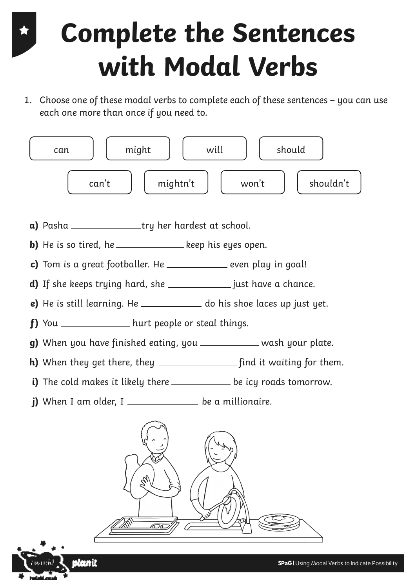1. Choose one of these modal verbs to complete each of these sentences – you can use each one more than once if you need to.



**a)** Pasha Contact Pasha Try her hardest at school.

**b)** He is so tired, he  $\frac{1}{\sqrt{1-\frac{1}{n}}}$  keep his eyes open.

- **c)** Tom is a great footballer. He \_\_\_\_\_\_\_\_\_\_\_\_\_\_ even play in goal!
- **d)** If she keeps trying hard, she \_\_\_\_\_\_\_\_\_\_\_\_\_\_\_ just have a chance.
- **e)** He is still learning. He \_\_\_\_\_\_\_\_\_\_\_\_\_\_ do his shoe laces up just yet.

**f)** You \_\_\_\_\_\_\_\_\_\_\_\_\_\_\_\_ hurt people or steal things.

- **g)** When you have finished eating, you \_\_\_\_\_\_\_\_\_\_\_\_ wash your plate.
- **h)** When they get there, they find it waiting for them.
- i) The cold makes it likely there \_\_\_\_\_\_\_\_\_\_\_\_ be icy roads tomorrow.
- **j)** When I am older, I  $\frac{1}{\sqrt{1-\frac{1}{\sqrt{1-\frac{1}{\sqrt{1-\frac{1}{\sqrt{1-\frac{1}{\sqrt{1-\frac{1}{\sqrt{1-\frac{1}{\sqrt{1-\frac{1}{\sqrt{1-\frac{1}{\sqrt{1-\frac{1}{\sqrt{1-\frac{1}{\sqrt{1-\frac{1}{\sqrt{1-\frac{1}{\sqrt{1-\frac{1}{\sqrt{1-\frac{1}{\sqrt{1-\frac{1}{\sqrt{1-\frac{1}{\sqrt{1-\frac{1}{\sqrt{1-\frac{1}{\sqrt{1-\frac{1}{\sqrt{1-\frac{1}{\sqrt{1-\frac{1}{\sqrt$

slamit



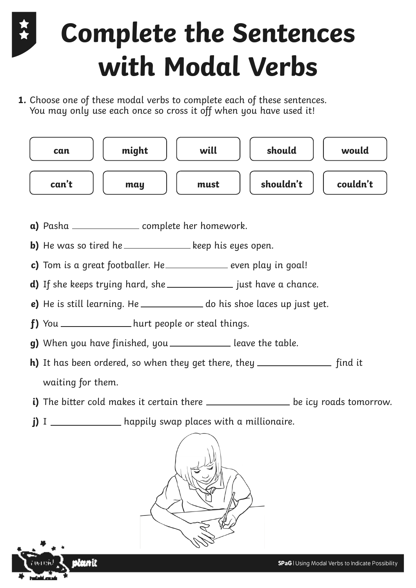**1.** Choose one of these modal verbs to complete each of these sentences. You may only use each once so cross it off when you have used it!



- **a)** Pasha <u>complete</u> her homework.
- **b)** He was so tired he \_\_\_\_\_\_\_\_\_\_\_\_\_\_\_ keep his eyes open.
- **c)** Tom is a great footballer. He \_\_\_\_\_\_\_\_\_\_\_\_\_\_ even play in goal!
- **d)** If she keeps trying hard, she \_\_\_\_\_\_\_\_\_\_\_\_\_\_\_ just have a chance.
- **e)** He is still learning. He \_\_\_\_\_\_\_\_\_\_\_\_\_ do his shoe laces up just yet.
- **f)** You \_\_\_\_\_\_\_\_\_\_\_\_\_\_\_hurt people or steal things.
- **g)** When you have finished, you \_\_\_\_\_\_\_\_\_\_\_\_\_ leave the table.
- **h)** It has been ordered, so when they get there, they \_\_\_\_\_\_\_\_\_\_\_\_\_\_\_\_ find it waiting for them.
- **i)** The bitter cold makes it certain there **we are all the intervalsion** be icy roads tomorrow.
- **j)** I \_\_\_\_\_\_\_\_\_\_\_\_\_\_\_\_ happily swap places with a millionaire.



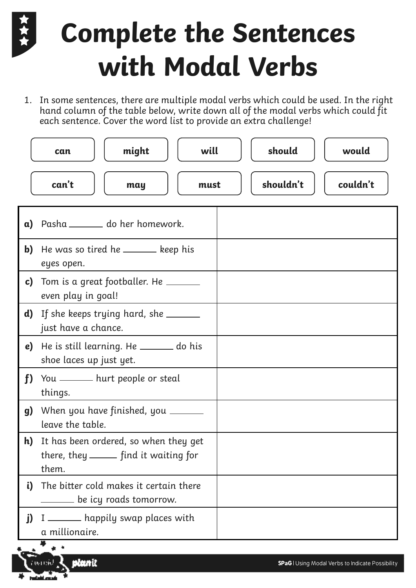1. In some sentences, there are multiple modal verbs which could be used. In the right hand column of the table below, write down all of the modal verbs which could fit each sentence. Cover the word list to provide an extra challenge!

|              | might<br>can                                                                              | will | should    | would    |
|--------------|-------------------------------------------------------------------------------------------|------|-----------|----------|
|              | can't<br>may                                                                              | must | shouldn't | couldn't |
| $\mathbf{a}$ | Pasha _______ do her homework.                                                            |      |           |          |
| $\mathbf{b}$ | He was so tired he ______ keep his<br>eyes open.                                          |      |           |          |
| $\mathbf{c}$ | Tom is a great footballer. He ______<br>even play in goal!                                |      |           |          |
| d)           | If she keeps trying hard, she ______<br>just have a chance.                               |      |           |          |
| e)           | He is still learning. He _____ do his<br>shoe laces up just yet.                          |      |           |          |
| f            | You _____ hurt people or steal<br>things.                                                 |      |           |          |
| g)           | When you have finished, you ______<br>leave the table.                                    |      |           |          |
| h)           | It has been ordered, so when they get<br>there, they _______ find it waiting for<br>them. |      |           |          |
| i)           | The bitter cold makes it certain there<br>_____ be icy roads tomorrow.                    |      |           |          |
| j)           | I ______ happily swap places with<br>a millionaire.                                       |      |           |          |

olanit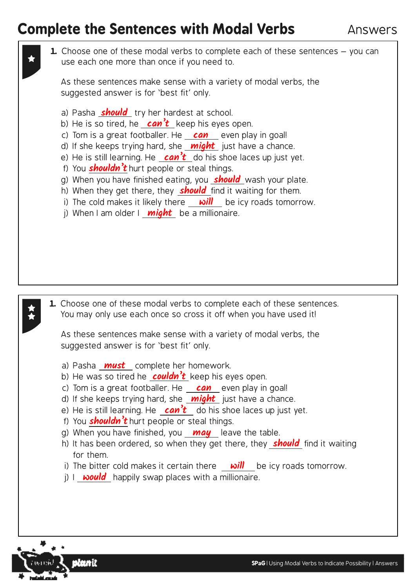Answers

**1.** Choose one of these modal verbs to complete each of these sentences - you can use each one more than once if you need to. **1.** Choose one of these modal verbs to complete each of these sentences. You may only use each once so cross it off when you have used it! a) Pasha **should** try her hardest at school. b) He is so tired, he **can't** keep his eyes open. c) Tom is a great footballer. He **can** even play in goal! d) If she keeps trying hard, she **might** just have a chance. e) He is still learning. He **can't** do his shoe laces up just yet. f) You **shouldn't** hurt people or steal things. g) When you have finished eating, you **should** wash your plate. h) When they get there, they **should** find it waiting for them. i) The cold makes it likely there **will** be icy roads tomorrow. j) When I am older I **might** be a millionaire. a) Pasha **must** complete her homework. b) He was so tired he **couldn't** keep his eyes open. c) Tom is a great footballer. He **can** even play in goal! d) If she keeps trying hard, she **might** just have a chance. e) He is still learning. He  $can't$  do his shoe laces up just yet. f) You **shouldn't** hurt people or steal things. g) When you have finished, you **may** leave the table. h) It has been ordered, so when they get there, they **should** find it waiting for them. i) The bitter cold makes it certain there **will** be icy roads tomorrow. j) I **would** happily swap places with a millionaire. As these sentences make sense with a variety of modal verbs, the suggested answer is for 'best fit' only. As these sentences make sense with a variety of modal verbs, the suggested answer is for 'best fit' only.